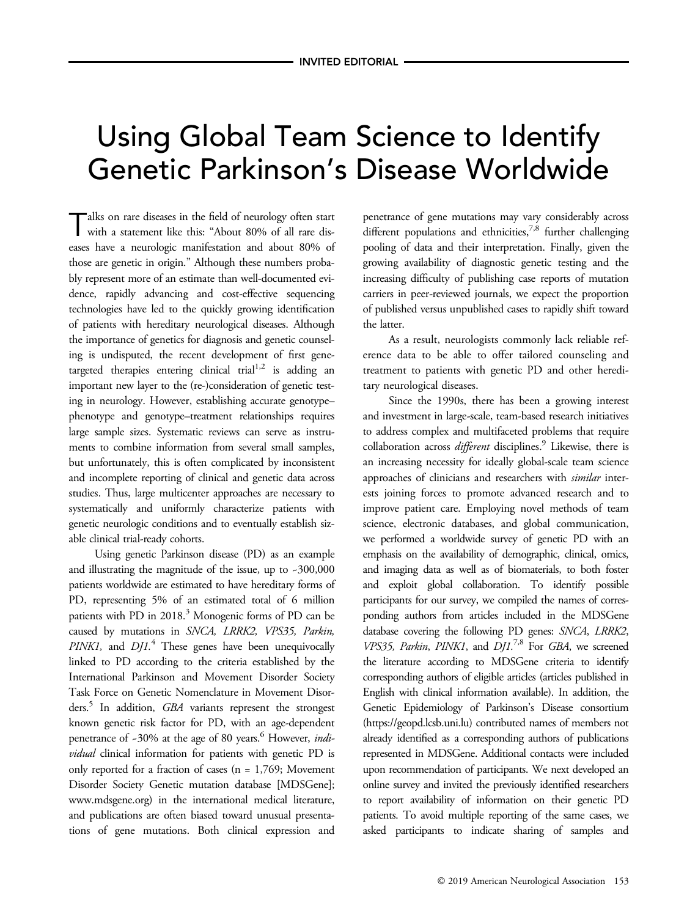# Using Global Team Science to Identify Genetic Parkinson's Disease Worldwide

Talks on rare diseases in the field of neurology often start with a statement like this: "About 80% of all rare diseases have a neurologic manifestation and about 80% of those are genetic in origin." Although these numbers probably represent more of an estimate than well-documented evidence, rapidly advancing and cost-effective sequencing technologies have led to the quickly growing identification of patients with hereditary neurological diseases. Although the importance of genetics for diagnosis and genetic counseling is undisputed, the recent development of first genetargeted therapies entering clinical trial<sup>1,2</sup> is adding an important new layer to the (re-)consideration of genetic testing in neurology. However, establishing accurate genotype– phenotype and genotype–treatment relationships requires large sample sizes. Systematic reviews can serve as instruments to combine information from several small samples, but unfortunately, this is often complicated by inconsistent and incomplete reporting of clinical and genetic data across studies. Thus, large multicenter approaches are necessary to systematically and uniformly characterize patients with genetic neurologic conditions and to eventually establish sizable clinical trial-ready cohorts.

Using genetic Parkinson disease (PD) as an example and illustrating the magnitude of the issue, up to ~300,000 patients worldwide are estimated to have hereditary forms of PD, representing 5% of an estimated total of 6 million patients with PD in 2018.<sup>3</sup> Monogenic forms of PD can be caused by mutations in SNCA, LRRK2, VPS35, Parkin, PINK1, and  $D/I$ .<sup>4</sup> These genes have been unequivocally linked to PD according to the criteria established by the International Parkinson and Movement Disorder Society Task Force on Genetic Nomenclature in Movement Disorders.<sup>5</sup> In addition, GBA variants represent the strongest known genetic risk factor for PD, with an age-dependent penetrance of ~30% at the age of 80 years.<sup>6</sup> However, individual clinical information for patients with genetic PD is only reported for a fraction of cases (n = 1,769; Movement Disorder Society Genetic mutation database [MDSGene]; [www.mdsgene.org](http://www.mdsgene.org)) in the international medical literature, and publications are often biased toward unusual presentations of gene mutations. Both clinical expression and

penetrance of gene mutations may vary considerably across different populations and ethnicities,  $7,8$  further challenging pooling of data and their interpretation. Finally, given the growing availability of diagnostic genetic testing and the increasing difficulty of publishing case reports of mutation carriers in peer-reviewed journals, we expect the proportion of published versus unpublished cases to rapidly shift toward the latter.

As a result, neurologists commonly lack reliable reference data to be able to offer tailored counseling and treatment to patients with genetic PD and other hereditary neurological diseases.

Since the 1990s, there has been a growing interest and investment in large-scale, team-based research initiatives to address complex and multifaceted problems that require collaboration across different disciplines.<sup>9</sup> Likewise, there is an increasing necessity for ideally global-scale team science approaches of clinicians and researchers with similar interests joining forces to promote advanced research and to improve patient care. Employing novel methods of team science, electronic databases, and global communication, we performed a worldwide survey of genetic PD with an emphasis on the availability of demographic, clinical, omics, and imaging data as well as of biomaterials, to both foster and exploit global collaboration. To identify possible participants for our survey, we compiled the names of corresponding authors from articles included in the MDSGene database covering the following PD genes: SNCA, LRRK2, VPS35, Parkin, PINK1, and  $D/L^{7,8}$  For GBA, we screened the literature according to MDSGene criteria to identify corresponding authors of eligible articles (articles published in English with clinical information available). In addition, the Genetic Epidemiology of Parkinson's Disease consortium [\(https://geopd.lcsb.uni.lu](https://geopd.lcsb.uni.lu)) contributed names of members not already identified as a corresponding authors of publications represented in MDSGene. Additional contacts were included upon recommendation of participants. We next developed an online survey and invited the previously identified researchers to report availability of information on their genetic PD patients. To avoid multiple reporting of the same cases, we asked participants to indicate sharing of samples and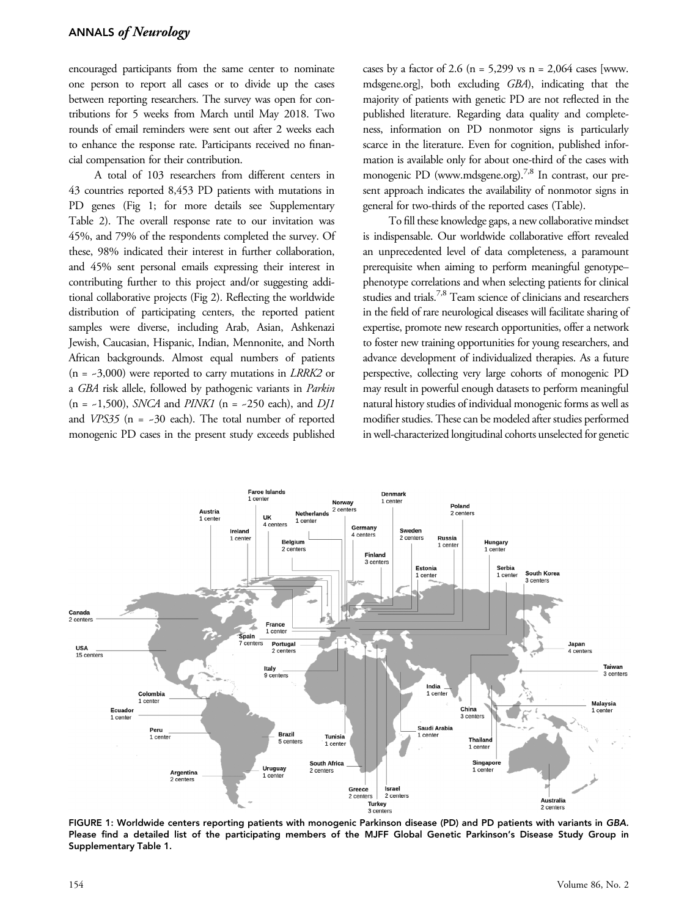encouraged participants from the same center to nominate one person to report all cases or to divide up the cases between reporting researchers. The survey was open for contributions for 5 weeks from March until May 2018. Two rounds of email reminders were sent out after 2 weeks each to enhance the response rate. Participants received no financial compensation for their contribution.

A total of 103 researchers from different centers in 43 countries reported 8,453 PD patients with mutations in PD genes (Fig 1; for more details see Supplementary Table 2). The overall response rate to our invitation was 45%, and 79% of the respondents completed the survey. Of these, 98% indicated their interest in further collaboration, and 45% sent personal emails expressing their interest in contributing further to this project and/or suggesting additional collaborative projects (Fig 2). Reflecting the worldwide distribution of participating centers, the reported patient samples were diverse, including Arab, Asian, Ashkenazi Jewish, Caucasian, Hispanic, Indian, Mennonite, and North African backgrounds. Almost equal numbers of patients  $(n = -3,000)$  were reported to carry mutations in *LRRK2* or a GBA risk allele, followed by pathogenic variants in Parkin  $(n = -1,500)$ , *SNCA* and *PINK1*  $(n = -250 \text{ each})$ , and *DJ1* and  $VPS35$  (n = ~30 each). The total number of reported monogenic PD cases in the present study exceeds published

cases by a factor of 2.6 ( $n = 5,299$  vs  $n = 2,064$  cases [\[www.](http://www.mdsgene.org) [mdsgene.org](http://www.mdsgene.org)], both excluding GBA), indicating that the majority of patients with genetic PD are not reflected in the published literature. Regarding data quality and completeness, information on PD nonmotor signs is particularly scarce in the literature. Even for cognition, published information is available only for about one-third of the cases with monogenic PD [\(www.mdsgene.org](http://www.mdsgene.org)).<sup>7,8</sup> In contrast, our present approach indicates the availability of nonmotor signs in general for two-thirds of the reported cases (Table).

To fill these knowledge gaps, a new collaborative mindset is indispensable. Our worldwide collaborative effort revealed an unprecedented level of data completeness, a paramount prerequisite when aiming to perform meaningful genotype– phenotype correlations and when selecting patients for clinical studies and trials.7,8 Team science of clinicians and researchers in the field of rare neurological diseases will facilitate sharing of expertise, promote new research opportunities, offer a network to foster new training opportunities for young researchers, and advance development of individualized therapies. As a future perspective, collecting very large cohorts of monogenic PD may result in powerful enough datasets to perform meaningful natural history studies of individual monogenic forms as well as modifier studies. These can be modeled after studies performed in well-characterized longitudinal cohorts unselected for genetic



FIGURE 1: Worldwide centers reporting patients with monogenic Parkinson disease (PD) and PD patients with variants in GBA. Please find a detailed list of the participating members of the MJFF Global Genetic Parkinson's Disease Study Group in Supplementary Table 1.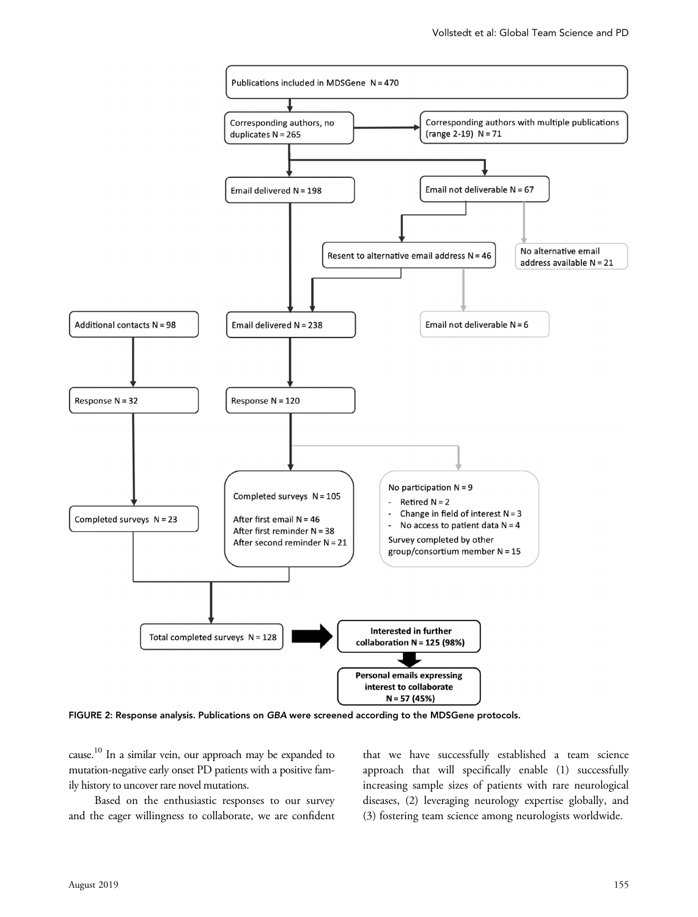

FIGURE 2: Response analysis. Publications on GBA were screened according to the MDSGene protocols.

cause.10 In a similar vein, our approach may be expanded to mutation-negative early onset PD patients with a positive family history to uncover rare novel mutations.

Based on the enthusiastic responses to our survey and the eager willingness to collaborate, we are confident that we have successfully established a team science approach that will specifically enable (1) successfully increasing sample sizes of patients with rare neurological diseases, (2) leveraging neurology expertise globally, and (3) fostering team science among neurologists worldwide.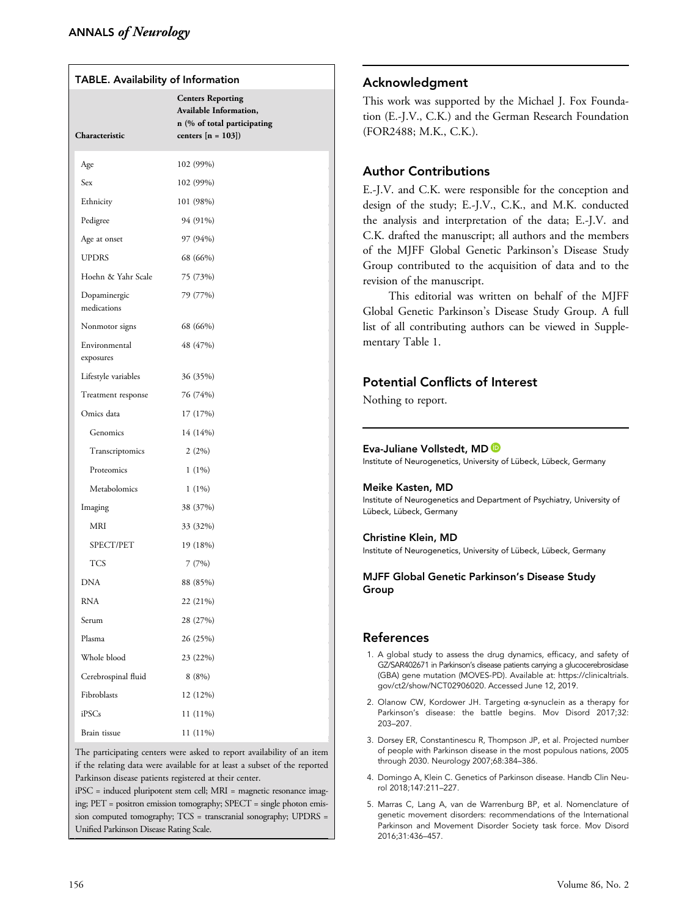| TABLE. Availability of Information |                                                                                                           |
|------------------------------------|-----------------------------------------------------------------------------------------------------------|
| Characteristic                     | <b>Centers Reporting</b><br>Available Information,<br>n (% of total participating<br>centers $[n = 103])$ |
| Age                                | 102 (99%)                                                                                                 |
| Sex                                | 102 (99%)                                                                                                 |
| Ethnicity                          | 101 (98%)                                                                                                 |
| Pedigree                           | 94 (91%)                                                                                                  |
| Age at onset                       | 97 (94%)                                                                                                  |
| <b>UPDRS</b>                       | 68 (66%)                                                                                                  |
| Hoehn & Yahr Scale                 | 75 (73%)                                                                                                  |
| Dopaminergic<br>medications        | 79 (77%)                                                                                                  |
| Nonmotor signs                     | 68 (66%)                                                                                                  |
| Environmental<br>exposures         | 48 (47%)                                                                                                  |
| Lifestyle variables                | 36 (35%)                                                                                                  |
| Treatment response                 | 76 (74%)                                                                                                  |
| Omics data                         | 17 (17%)                                                                                                  |
| Genomics                           | 14 (14%)                                                                                                  |
| Transcriptomics                    | 2(2%)                                                                                                     |
| Proteomics                         | $1(1\%)$                                                                                                  |
| Metabolomics                       | $1(1\%)$                                                                                                  |
| Imaging                            | 38 (37%)                                                                                                  |
| MRI                                | 33 (32%)                                                                                                  |
| SPECT/PET                          | 19 (18%)                                                                                                  |
| <b>TCS</b>                         | 7(7%)                                                                                                     |
| <b>DNA</b>                         | 88 (85%)                                                                                                  |
| RNA                                | 22 (21%)                                                                                                  |
| Serum                              | 28 (27%)                                                                                                  |
| Plasma                             | 26 (25%)                                                                                                  |
| Whole blood                        | 23 (22%)                                                                                                  |
| Cerebrospinal fluid                | 8(8%)                                                                                                     |
| Fibroblasts                        | 12 (12%)                                                                                                  |
| iPSCs                              | 11 (11%)                                                                                                  |
| Brain tissue                       | 11 (11%)                                                                                                  |

The participating centers were asked to report availability of an item if the relating data were available for at least a subset of the reported Parkinson disease patients registered at their center.

iPSC = induced pluripotent stem cell; MRI = magnetic resonance imaging; PET = positron emission tomography; SPECT = single photon emission computed tomography; TCS = transcranial sonography; UPDRS = Unified Parkinson Disease Rating Scale.

## Acknowledgment

This work was supported by the Michael J. Fox Foundation (E.-J.V., C.K.) and the German Research Foundation (FOR2488; M.K., C.K.).

## Author Contributions

E.-J.V. and C.K. were responsible for the conception and design of the study; E.-J.V., C.K., and M.K. conducted the analysis and interpretation of the data; E.-J.V. and C.K. drafted the manuscript; all authors and the members of the MJFF Global Genetic Parkinson's Disease Study Group contributed to the acquisition of data and to the revision of the manuscript.

This editorial was written on behalf of the MJFF Global Genetic Parkinson's Disease Study Group. A full list of all contributing authors can be viewed in Supplementary Table 1.

## Potential Conflicts of Interest

Nothing to report.

#### Eva-Juliane Vollstedt, MD

Institute of Neurogenetics, University of Lübeck, Lübeck, Germany

#### Meike Kasten, MD

Institute of Neurogenetics and Department of Psychiatry, University of Lübeck, Lübeck, Germany

#### Christine Klein, MD

Institute of Neurogenetics, University of Lübeck, Lübeck, Germany

#### MJFF Global Genetic Parkinson's Disease Study Group

### References

- 1. A global study to assess the drug dynamics, efficacy, and safety of GZ/SAR402671 in Parkinson's disease patients carrying a glucocerebrosidase (GBA) gene mutation (MOVES-PD). Available at: [https://clinicaltrials.](https://clinicaltrials.gov/ct2/show/NCT02906020) [gov/ct2/show/NCT02906020.](https://clinicaltrials.gov/ct2/show/NCT02906020) Accessed June 12, 2019.
- 2. Olanow CW, Kordower JH. Targeting α-synuclein as a therapy for Parkinson's disease: the battle begins. Mov Disord 2017;32: 203–207.
- 3. Dorsey ER, Constantinescu R, Thompson JP, et al. Projected number of people with Parkinson disease in the most populous nations, 2005 through 2030. Neurology 2007;68:384–386.
- 4. Domingo A, Klein C. Genetics of Parkinson disease. Handb Clin Neurol 2018;147:211–227.
- 5. Marras C, Lang A, van de Warrenburg BP, et al. Nomenclature of genetic movement disorders: recommendations of the International Parkinson and Movement Disorder Society task force. Mov Disord 2016;31:436–457.